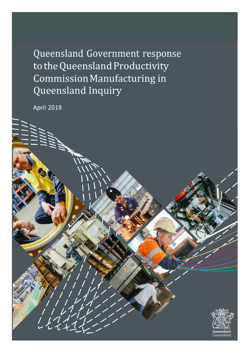Queensland Government response to the Queensland Productivity Commission Manufacturing in Queensland Inquiry

April 2018

 $\frac{1}{11}$ 

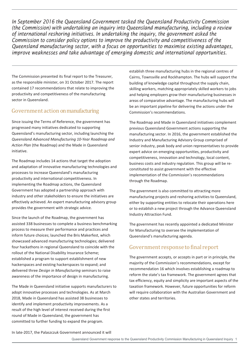*In September 2016 the Queensland Government tasked the Queensland Productivity Commission (the Commission) with undertaking an inquiry into Queensland manufacturing, including a review of international reshoring initiatives. In undertaking the inquiry, the government asked the Commission to consider policy options to improve the productivity and competitiveness of the Queensland manufacturing sector, with a focus on opportunities to maximise existing advantages, improve weaknesses and take advantage of emerging domestic and international opportunities.* 

The Commission presented its final report to the Treasurer, as the responsible minister, on 31 October 2017. The report contained 17 recommendations that relate to improving the productivity and competitiveness of the manufacturing sector in Queensland.

# Government action on manufacturing

Since issuing the Terms of Reference, the government has progressed many initiatives dedicated to supporting Queensland's manufacturing sector, including launching the *Queensland Advanced Manufacturing 10-Year Roadmap and Action Plan* (the Roadmap) and the Made in Queensland initiative.

The Roadmap includes 14 actions that target the adoption and adaptation of innovative manufacturing technologies and processes to increase Queensland's manufacturing productivity and international competitiveness. In implementing the Roadmap actions, the Queensland Government has adopted a partnership approach with industry and other stakeholders to ensure the initiatives are effectively achieved. An expert manufacturing advisory group provides the government with strategic advice.

Since the launch of the Roadmap, the government has assisted 338 businesses to complete a business benchmarking process to measure their performance and practices and inform future choices; launched the Bris Makerfest, which showcased advanced manufacturing technologies; delivered four hackathons in regional Queensland to coincide with the rollout of the National Disability Insurance Scheme; established a program to support establishment of new hackerspaces and existing hackerspaces to expand; and delivered three *Design in Manufacturing* seminars to raise awareness of the importance of design in manufacturing.

The Made in Queensland initiative supports manufacturers to adopt innovative processes and technologies. As at March 2018, Made in Queensland has assisted 38 businesses to identify and implement productivity improvements. As a result of the high level of interest received during the first round of Made in Queensland, the government has committed to further funding to expand the program.

establish three manufacturing hubs in the regional centres of Cairns, Townsville and Rockhampton. The hubs will support the building of knowledge capital throughout the supply chain, skilling workers, matching appropriately skilled workers to jobs and helping employers grow their manufacturing businesses in areas of comparative advantage. The manufacturing hubs will be an important pipeline for delivering the actions under the Commission's recommendations.

The Roadmap and Made in Queensland initiatives complement previous Queensland Government actions supporting the manufacturing sector. In 2016, the government established the Industry and Manufacturing Advisory Group comprised of senior industry, peak body and union representatives to provide expert advice on emerging opportunities, productivity and competitiveness, innovation and technology, local content, business costs and industry regulation. This group will be reconstituted to assist government with the effective implementation of the Commission's recommendations through the Roadmap.

The government is also committed to attracting more manufacturing projects and reshoring activities to Queensland, either by supporting entities to relocate their operations here or to establish a new project through the Advance Queensland Industry Attraction Fund.

The government has recently appointed a dedicated Minister for Manufacturing to oversee the implementation of Queensland's manufacturing agenda.

# Government response to final report

The government accepts, or accepts in part or in principle, the majority of the Commission's recommendations, except for recommendation 16 which involves establishing a roadmap to reform the state's tax framework. The government agrees that tax efficiency, equity and simplicity are important aspects of the taxation framework. However, future opportunities for reform will require collaboration with the Australian Government and other states and territories.

In late-2017, the Palaszczuk Government announced it will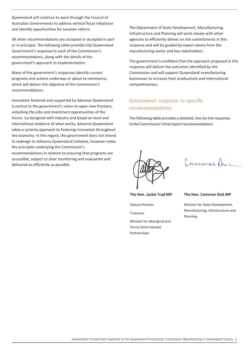Queensland will continue to work through the Council of Australian Governments to address vertical fiscal imbalance and identify opportunities for taxation reform.

All other recommendations are accepted or accepted in part or in principal. The following table provides the Queensland Government's response to each of the Commission's recommendations, along with the details of the government's approach to implementation.

Many of the government's responses identify current programs and actions underway or about to commence, which will deliver the objective of the Commission's recommendations.

Innovation fostered and supported by Advance Queensland is central to the government's vision to open new frontiers, unlocking the jobs and investment opportunities of the future. Co-designed with industry and based on local and international evidence of what works, Advance Queensland takes a systems approach to fostering innovation throughout the economy. In this regard, the government does not intend to redesign its Advance Queensland initiative, however notes the principles underlying the Commission's

recommendations in relation to ensuring that programs are accessible, subject to clear monitoring and evaluation and delivered as efficiently as possible.

The Department of State Development, Manufacturing, Infrastructure and Planning will work closely with other agencies to efficiently deliver on the commitments in this response and will be guided by expert advice from the manufacturing sector and key stakeholders.

The government is confident that the approach proposed in this response will deliver the outcomes identified by the Commission and will support Queensland manufacturing businesses to increase their productivity and international competitiveness.

### Government response to specific recommendations

The following table provides a detailed, line-by-line response to the Commission's final report recommendations.



Common Duc

**The Hon. Jackie Trad MP** 

Deputy Premier

Treasurer

Minister for Aboriginal and Torres Strait Islander Partnerships

#### **The Hon. Cameron Dick MP**

Minister for State Development, Manufacturing, Infrastructure and Planning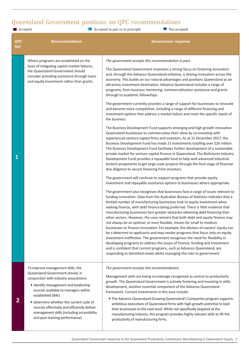# Queensland Government positions on QPC recommendations

■ Accepted ■ Accepted in part or in principle ■ Not accepted

| <b>QPC</b><br><b>Ref</b> | <b>Recommendation</b>                                                                                                                                                                                                                                                                                                                                                                           | <b>Government response</b>                                                                                                                                                                                                                                                                                                                                                                                                                                                                                                                                                                                                                                                                                                                                                                                                                                                                                                                                                                                                                                                                                                                                                                                                                                                                                                                                                                                                                                                                                                                                                                                                                                                                                                                                                                                                                                                                                                                                                                                                                                                                                                                                                                                                                                                                                                                                                                                                                                                                                                                                                                                                                                                                                                                            |
|--------------------------|-------------------------------------------------------------------------------------------------------------------------------------------------------------------------------------------------------------------------------------------------------------------------------------------------------------------------------------------------------------------------------------------------|-------------------------------------------------------------------------------------------------------------------------------------------------------------------------------------------------------------------------------------------------------------------------------------------------------------------------------------------------------------------------------------------------------------------------------------------------------------------------------------------------------------------------------------------------------------------------------------------------------------------------------------------------------------------------------------------------------------------------------------------------------------------------------------------------------------------------------------------------------------------------------------------------------------------------------------------------------------------------------------------------------------------------------------------------------------------------------------------------------------------------------------------------------------------------------------------------------------------------------------------------------------------------------------------------------------------------------------------------------------------------------------------------------------------------------------------------------------------------------------------------------------------------------------------------------------------------------------------------------------------------------------------------------------------------------------------------------------------------------------------------------------------------------------------------------------------------------------------------------------------------------------------------------------------------------------------------------------------------------------------------------------------------------------------------------------------------------------------------------------------------------------------------------------------------------------------------------------------------------------------------------------------------------------------------------------------------------------------------------------------------------------------------------------------------------------------------------------------------------------------------------------------------------------------------------------------------------------------------------------------------------------------------------------------------------------------------------------------------------------------------------|
| $\mathbf{1}$             | Where programs are established on the<br>basis of mitigating capital market failures,<br>the Queensland Government should<br>consider providing assistance through loans<br>and equity investment rather than grants.                                                                                                                                                                           | The government accepts this recommendation in part.<br>The Queensland Government maintains a strong focus on fostering innovation<br>and, through the Advance Queensland initiative, is driving innovation across the<br>economy. This builds on our natural advantages and positions Queensland as an<br>attractive investment destination. Advance Queensland includes a range of<br>programs, from business mentoring, commercialisation assistance and grants<br>through to academic fellowships.<br>The government currently provides a range of support for businesses to innovate<br>and become more competitive, including a range of different financing and<br>investment options that address a market failure and meet the specific needs of<br>the business.<br>The Business Development Fund supports emerging and high growth innovative<br>Queensland businesses to commercialise their ideas by co-investing with<br>experienced venture capital firms and investors. As at 31 December 2017, the<br>Business Development Fund has made 23 investments totalling over \$26 million.<br>The Business Development Fund facilitates further development of a sustainable<br>private market for venture capital finance in Queensland. The Biofutures Industry<br>Development Fund provides a repayable fund to help well-advanced industrial<br>biotech proponents to get large-scale projects through the final stage of financial<br>due diligence to secure financing from investors.<br>The government will continue to support programs that provide equity<br>investment and repayable assistance options to businesses where appropriate.<br>The government also recognises that businesses face a range of issues relevant to<br>funding innovation. Data from the Australian Bureau of Statistics indicates that a<br>limited number of manufacturing businesses look to equity investment when<br>seeking finance, with debt finance being preferred. There is little evidence that<br>manufacturing businesses face greater obstacles obtaining debt financing than<br>other sectors. However, the case remains that both debt and equity finance may<br>not always be an optimal, or even feasible, means for small to medium<br>businesses to finance innovation. For example, the dilution of owners' equity can<br>be a deterrent to applicants and may render programs that focus only on equity<br>investment ineffective. The government recognises the need for flexibility in<br>developing programs to address the issues of finance, funding and investment<br>and is confident that current programs, such as Advance Queensland, are<br>responding to identified needs whilst managing the risks to government. |
| $\overline{2}$           | To improve management skills, the<br>Queensland Government should, in<br>conjunction with industry associations:<br>• identify management and leadership<br>courses available to managers within<br>established SMEs<br>• determine whether the current suite of<br>courses effectively and efficiently deliver<br>management skills (including accessibility<br>and post-training performance) | The government accepts this recommendation.<br>Management skills are being increasingly recognised as central to productivity<br>growth. The Queensland Government is actively fostering and investing in skills<br>development, another essential component of the Advance Queensland<br>framework. Current investments in this area include:<br>• The Advance Queensland Growing Queensland's Companies program supports<br>ambitious executives of Queensland firms with high-growth potential to lead<br>their businesses to the next level. While not specifically targeted at the<br>manufacturing industry, this program provides highly relevant skills to lift the<br>productivity of manufacturing firms.                                                                                                                                                                                                                                                                                                                                                                                                                                                                                                                                                                                                                                                                                                                                                                                                                                                                                                                                                                                                                                                                                                                                                                                                                                                                                                                                                                                                                                                                                                                                                                                                                                                                                                                                                                                                                                                                                                                                                                                                                                   |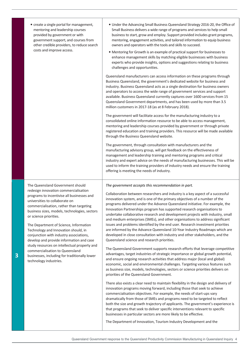The Queensland Government should redesign innovation commercialisation programs to incentivise all businesses and universities to collaborate on commercialisation, rather than targeting business sizes, models, technologies, sectors or science priorities.

The Department of Science, Information Technology and Innovation should, in conjunction with industry associations, develop and provide information and case study resources on intellectual property and commercialisation to Queensland businesses, including for traditionally lower technology industries.

- Under the Advancing Small Business Queensland Strategy 2016-20, the Office of Small Business delivers a wide range of programs and services to help small business to start, grow and employ. Support provided includes grant programs, mentoring, engagement activities, and tailored information to equip business owners and operators with the tools and skills to succeed.
- Mentoring for Growth is an example of practical support for businesses to enhance management skills by matching eligible businesses with business experts who provide insights, options and suggestions relating to business challenges and opportunities.

Queensland manufacturers can access information on these programs through Business Queensland, the government's dedicated website for business and industry. Business Queensland acts as a single destination for business owners and operators to access the wide range of government services and support available. Business Queensland currently captures over 1600 services from 15 Queensland Government departments, and has been used by more than 3.5 million customers in 2017-18 (as at 8 February 2018).

The government will facilitate access for the manufacturing industry to a consolidated online information resource to be able to access management, mentoring and leadership courses provided by government or through private registered education and training providers. This resource will be made available through the Business Queensland website.

The government, through consultation with manufacturers and the manufacturing advisory group, will get feedback on the effectiveness of management and leadership training and mentoring programs and critical industry and expert advice on the needs of manufacturing businesses. This will be used to inform the training providers of industry needs and ensure the training offering is meeting the needs of industry.

*The government accepts this recommendation in part.* 

Collaboration between researchers and industry is a key aspect of a successful innovation system, and is one of the primary objectives of a number of the programs delivered under the Advance Queensland initiative. For example, the Innovation Partnerships program has supported research organisations to undertake collaborative research and development projects with industry, small and medium enterprises (SMEs), and other organisations to address significant issues and problems identified by the end user. Research investment priorities are informed by the Advance Queensland 10-Year Industry Roadmaps which are developed in close consultation with industry and other stakeholders, and the Queensland science and research priorities.

The Queensland Government supports research efforts that leverage competitive advantages, target industries of strategic importance or global growth potential, and ensure ongoing research activities that address major (local and global) economic, social and environmental challenges. Targeting various features such as business size, models, technologies, sectors or science priorities delivers on priorities of the Queensland Government.

There also exists a clear need to maintain flexibility in the design and delivery of innovation programs moving forward, including those that seek to achieve commercialisation objectives. For example, the needs of start-ups vary dramatically from those of SMEs and programs need to be targeted to reflect both the size and growth trajectory of applicants. The government's experience is that programs that seek to deliver specific interventions relevant to specific businesses in particular sectors are more likely to be effective.

The Department of Innovation, Tourism Industry Development and the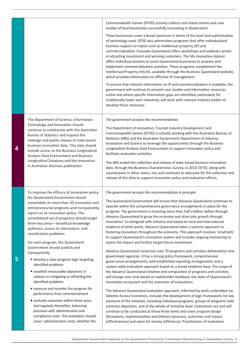|   |                                                                                                                                                                                                                                                                                                                                                                                                                                                                                                                                                                                                                                                                                                                                                                                                                                                                                                     | Commonwealth Games (DITID) actively collects and shares stories and case<br>studies of local businesses successfully innovating in Queensland.<br>These businesses cover a broad spectrum in terms of the level and sophistication<br>of technology used. DITID also administers programs that offer individualised<br>business support on topics such as intellectual property (IP) and<br>commercialisation. Innovate Queensland offers workshops and webinars aimed<br>at attracting investment and winning customers. The My Innovation Advisor<br>offers individual sessions to assist Queensland businesses to prepare and<br>implement commercialisation activities. These programs complement the<br>Intellectual Property Info Kit, available through the Business Queensland website,<br>which provides information on effective IP management.<br>To ensure that relevant information on IP and commercialisation is available, the<br>government will continue to present case studies and information resources<br>online and where specific information gaps are identified, particularly for<br>traditionally lower tech industries, will work with relevant industry bodies to<br>develop these resources.                                                                                                                                                                                                                                                                                                                                                                                                                                                                                                                                                                                           |
|---|-----------------------------------------------------------------------------------------------------------------------------------------------------------------------------------------------------------------------------------------------------------------------------------------------------------------------------------------------------------------------------------------------------------------------------------------------------------------------------------------------------------------------------------------------------------------------------------------------------------------------------------------------------------------------------------------------------------------------------------------------------------------------------------------------------------------------------------------------------------------------------------------------------|----------------------------------------------------------------------------------------------------------------------------------------------------------------------------------------------------------------------------------------------------------------------------------------------------------------------------------------------------------------------------------------------------------------------------------------------------------------------------------------------------------------------------------------------------------------------------------------------------------------------------------------------------------------------------------------------------------------------------------------------------------------------------------------------------------------------------------------------------------------------------------------------------------------------------------------------------------------------------------------------------------------------------------------------------------------------------------------------------------------------------------------------------------------------------------------------------------------------------------------------------------------------------------------------------------------------------------------------------------------------------------------------------------------------------------------------------------------------------------------------------------------------------------------------------------------------------------------------------------------------------------------------------------------------------------------------------------------------------------------------------------------------------------------------------------------------|
| 4 | The Department of Science, Information<br>Technology and Innovation should<br>continue to collaborate with the Australian<br>Bureau of Statistics and request the<br>redesign and public release of state-based<br>business innovation data. This data should<br>include access to the Business Longitudinal<br>Analysis Data Environment and Business<br>Longitudinal Database and the Innovation<br>in Australian Business publication.                                                                                                                                                                                                                                                                                                                                                                                                                                                           | The government accepts this recommendation.<br>The Department of Innovation, Tourism Industry Development and<br>Commonwealth Games (DITID) is actively working with the Australian Bureau of<br>Statistics (ABS) and the Australian Government Department of Industry,<br>Innovation and Science to leverage the opportunities through the Business<br>Longitudinal Analysis Data Environment to support innovation policy and<br>facilitate evaluation activities.<br>The ABS ended the collection and release of state-based business innovation<br>data, through the Business Characteristics Survey, in 2010. DITID, along with<br>counterparts in other states, has and continues to advocate for the collection and<br>release of this data to support innovation policy and evaluation efforts.                                                                                                                                                                                                                                                                                                                                                                                                                                                                                                                                                                                                                                                                                                                                                                                                                                                                                                                                                                                                              |
| 5 | To improve the efficacy of innovation policy,<br>the Queensland Government should<br>consolidate its more than 50 innovation and<br>entrepreneurial programs and transparently<br>report on its innovation policy. The<br>consolidated set of programs should target<br>three key areas-beneficial knowledge<br>spillovers, access to information, and<br>coordination problems.<br>For each program, the Queensland<br>Government should publicly and<br>transparently:<br>· develop a clear program logic targeting<br>identified problems<br>· establish measurable objectives in<br>relation to mitigating or offsetting the<br>identified problems<br>• measure and monitor the program for<br>performance from commencement<br>• evaluate outcomes within three years<br>and regularly thereafter, balancing<br>precision with administrative and<br>compliance costs. This evaluation should | The government accepts this recommendation in principle.<br>The Queensland Government will ensure that Advance Queensland continues to<br>operate within the comprehensive governance arrangements in place for the<br>program. The government is investing more than half a billion dollars through<br>Advance Queensland to grow the economy and drive jobs growth through<br>innovation. Co-designed with industry and based on local and international<br>evidence of what works, Advance Queensland takes a systems approach to<br>fostering innovation throughout the economy. This approach involves 'small bets'<br>to support Queensland's innovation system and includes ongoing monitoring to<br>assess the impact and further target future investment.<br>Advance Queensland comprises over 70 programs and activities delivered by nine<br>government agencies. It has a strong policy framework, comprehensive<br>governance arrangements, well-established reporting arrangements and a<br>system-wide evaluation approach based on a broad evidence base. The scope of<br>the Advance Queensland initiative and composition of programs and activities<br>will change over time based on stakeholder feedback, the state of Queensland's<br>innovation ecosystem and the outcomes of evaluations.<br>The Advance Queensland evaluation approach, informed by work undertaken by<br>Deloitte Access Economics, includes the development of logic frameworks for key<br>elements of the initiative, including individual programs, groups of programs with<br>common objectives, and at the whole-of-initiative level. Evaluations are and will<br>continue to be conducted at these three levels and cover program design<br>(formative), implementation and delivery (process), outcomes and impact |
|   | cover: administration costs; whether the                                                                                                                                                                                                                                                                                                                                                                                                                                                                                                                                                                                                                                                                                                                                                                                                                                                            | (effectiveness) and value for money (efficiency). Prioritisation of evaluation                                                                                                                                                                                                                                                                                                                                                                                                                                                                                                                                                                                                                                                                                                                                                                                                                                                                                                                                                                                                                                                                                                                                                                                                                                                                                                                                                                                                                                                                                                                                                                                                                                                                                                                                       |

Queensland Government response to the Queensland Productivity Commission Manufacturing in Queensland Inquiry 5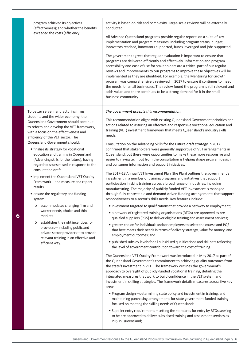| program achieved its objectives<br>(effectiveness); and whether the benefits<br>exceeded the costs (efficiency).                                                                                                                                                                                                                                                                                                                                                                                                                                                                                                                                                                                                                                                                                                                                                                                        | activity is based on risk and complexity. Large-scale reviews will be externally<br>conducted.<br>All Advance Queensland programs provide regular reports on a suite of key<br>implementation and program measures, including program status, budget,<br>innovators reached, innovators supported, funds leveraged and jobs supported.<br>The government agrees that regular evaluation is important to ensure that<br>programs are delivered efficiently and effectively. Information and program<br>accessibility and ease of use for stakeholders are a critical part of our regular<br>reviews and improvements to our programs to improve these objectives will be<br>implemented as they are identified. For example, the Mentoring for Growth<br>program was comprehensively reviewed in 2017 to ensure it continues to meet<br>the needs for small businesses. The review found the program is still relevant and<br>adds value, and there continues to be a strong demand for it in the small<br>business community.                                                                                                                                                                                                                                                                                                                                                                                                                                                                                                                                                                                                                                                                                                                                                                                                                                                                                                                                                                                                                                                                                                                                                                                                                                                                                                                                                                                                                                                                                                                                                                       |
|---------------------------------------------------------------------------------------------------------------------------------------------------------------------------------------------------------------------------------------------------------------------------------------------------------------------------------------------------------------------------------------------------------------------------------------------------------------------------------------------------------------------------------------------------------------------------------------------------------------------------------------------------------------------------------------------------------------------------------------------------------------------------------------------------------------------------------------------------------------------------------------------------------|-----------------------------------------------------------------------------------------------------------------------------------------------------------------------------------------------------------------------------------------------------------------------------------------------------------------------------------------------------------------------------------------------------------------------------------------------------------------------------------------------------------------------------------------------------------------------------------------------------------------------------------------------------------------------------------------------------------------------------------------------------------------------------------------------------------------------------------------------------------------------------------------------------------------------------------------------------------------------------------------------------------------------------------------------------------------------------------------------------------------------------------------------------------------------------------------------------------------------------------------------------------------------------------------------------------------------------------------------------------------------------------------------------------------------------------------------------------------------------------------------------------------------------------------------------------------------------------------------------------------------------------------------------------------------------------------------------------------------------------------------------------------------------------------------------------------------------------------------------------------------------------------------------------------------------------------------------------------------------------------------------------------------------------------------------------------------------------------------------------------------------------------------------------------------------------------------------------------------------------------------------------------------------------------------------------------------------------------------------------------------------------------------------------------------------------------------------------------------------------------------------------------------------------------------------------------------------------------------------|
| To better serve manufacturing firms,<br>students and the wider economy, the<br>Queensland Government should continue<br>to reform and develop the VET framework,<br>with a focus on the effectiveness and<br>efficiency of the VET sector. The<br>Queensland Government should:<br>• finalise its strategy for vocational<br>education and training in Queensland<br>(Advancing skills for the future), having<br>regard to issues raised in response to the<br>consultation draft<br>• implement the Queensland VET Quality<br>Framework-and measure and report<br>results<br>• ensure the regulatory and funding<br>system:<br>accommodates changing firm and<br>O<br>worker needs, choice and thin<br>markets<br>establishes the right incentives for<br>$\circ$<br>providers-including public and<br>private sector providers-to provide<br>relevant training in an effective and<br>efficient way. | The government accepts this recommendation.<br>This recommendation aligns with existing Queensland Government priorities and<br>actions related to assuring an effective and responsive vocational education and<br>training (VET) investment framework that meets Queensland's industry skills<br>needs.<br>Consultation on the Advancing Skills for the Future draft strategy in 2017<br>confirmed that stakeholders were generally supportive of VET arrangements in<br>Queensland, but there were opportunities to make these more responsive and<br>easier to navigate. Input from the consultation is helping shape program design<br>and consumer information and support initiatives.<br>The 2017-18 Annual VET Investment Plan (the Plan) outlines the government's<br>investment in a number of training programs and initiatives that support<br>participation in skills training across a broad range of industries, including<br>manufacturing. The majority of publicly funded VET investment is managed<br>through fully contestable and demand-driven funding arrangements that support<br>responsiveness to a sector's skills needs. Key features include:<br>• investment targeted to qualifications that provide a pathway to employment;<br>• a network of registered training organisations (RTOs) pre-approved as pre-<br>qualified suppliers (PQS) to deliver eligible training and assessment services;<br>• greater choice for individuals and/or employers to select the course and PQS<br>that best meets their needs in terms of delivery strategy, value for money, and<br>employment outcomes; and<br>• published subsidy levels for all subsidised qualifications and skill sets reflecting<br>the level of government contribution toward the cost of training.<br>The Queensland VET Quality Framework was introduced in May 2017 as part of<br>the Queensland Government's commitment to achieving quality outcomes from<br>the state's investment in VET. The framework outlines the government's<br>approach to oversight of publicly-funded vocational training, detailing the<br>integrated measures that work to build confidence in the VET system and<br>investment in skilling strategies. The framework details measures across five key<br>areas:<br>. Program design - determining state policy and investment in training, and<br>maintaining purchasing arrangements for state government-funded training<br>focused on meeting the skilling needs of Queensland;<br>• Supplier entry requirements - setting the standards for entry by RTOs seeking |
|                                                                                                                                                                                                                                                                                                                                                                                                                                                                                                                                                                                                                                                                                                                                                                                                                                                                                                         | to be pre-approved to deliver subsidised training and assessment services as<br>PQS in Queensland;                                                                                                                                                                                                                                                                                                                                                                                                                                                                                                                                                                                                                                                                                                                                                                                                                                                                                                                                                                                                                                                                                                                                                                                                                                                                                                                                                                                                                                                                                                                                                                                                                                                                                                                                                                                                                                                                                                                                                                                                                                                                                                                                                                                                                                                                                                                                                                                                                                                                                                  |

**6**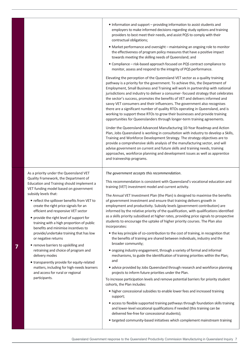|   |                                                                                                                              | • Information and support - providing information to assist students and<br>employers to make informed decisions regarding study options and training<br>providers to best meet their needs, and assist PQS to comply with their<br>contractual obligations;<br>• Market performance and oversight - maintaining an ongoing role to monitor                                                                                                                                                                                                                                                                                                                                                                                                  |
|---|------------------------------------------------------------------------------------------------------------------------------|----------------------------------------------------------------------------------------------------------------------------------------------------------------------------------------------------------------------------------------------------------------------------------------------------------------------------------------------------------------------------------------------------------------------------------------------------------------------------------------------------------------------------------------------------------------------------------------------------------------------------------------------------------------------------------------------------------------------------------------------|
|   |                                                                                                                              | the effectiveness of program policy measures that have a positive impact<br>towards meeting the skilling needs of Queensland; and                                                                                                                                                                                                                                                                                                                                                                                                                                                                                                                                                                                                            |
|   |                                                                                                                              | • Compliance - risk-based approach focused on PQS contract compliance to<br>monitor, assess and respond to the integrity of PQS performance.                                                                                                                                                                                                                                                                                                                                                                                                                                                                                                                                                                                                 |
|   |                                                                                                                              | Elevating the perception of the Queensland VET sector as a quality training<br>pathway is a priority for the government. To achieve this, the Department of<br>Employment, Small Business and Training will work in partnership with national<br>jurisdictions and industry to deliver a consumer-focused strategy that celebrates<br>the sector's success, promotes the benefits of VET and delivers informed and<br>savvy VET consumers and their influencers. The government also recognises<br>there are a significant number of quality RTOs operating in Queensland, and is<br>working to support these RTOs to grow their businesses and provide training<br>opportunities for Queenslanders through longer-term training agreements. |
|   |                                                                                                                              | Under the Queensland Advanced Manufacturing 10-Year Roadmap and Action<br>Plan, Jobs Queensland is working in consultation with industry to develop a Skills,<br>Training and Workforce Development Strategy. The strategy objectives are to<br>provide a comprehensive skills analysis of the manufacturing sector, and will<br>advise government on current and future skills and training needs, training<br>approaches, workforce planning and development issues as well as apprentice<br>and traineeship programs.                                                                                                                                                                                                                     |
|   |                                                                                                                              |                                                                                                                                                                                                                                                                                                                                                                                                                                                                                                                                                                                                                                                                                                                                              |
|   | As a priority under the Queensland VET                                                                                       | The government accepts this recommendation.                                                                                                                                                                                                                                                                                                                                                                                                                                                                                                                                                                                                                                                                                                  |
|   | Quality Framework, the Department of<br>Education and Training should implement a<br>VET funding model based on government   | This recommendation is consistent with Queensland's vocational education and<br>training (VET) investment model and current activity.                                                                                                                                                                                                                                                                                                                                                                                                                                                                                                                                                                                                        |
|   | subsidy levels that:<br>• reflect the spillover benefits from VET to<br>create the right price signals for an                | The Annual VET Investment Plan (the Plan) is designed to maximise the benefits<br>of government investment and ensure that training delivers growth in<br>employment and productivity. Subsidy levels (government contribution) are                                                                                                                                                                                                                                                                                                                                                                                                                                                                                                          |
|   | efficient and responsive VET sector<br>• provide the right level of support for<br>training with a high proportion of public | informed by the relative priority of the qualification, with qualifications identified<br>as a skills priority subsidised at higher rates, providing price signals to prospective<br>students to encourage the uptake of higher priority courses. The Plan also                                                                                                                                                                                                                                                                                                                                                                                                                                                                              |
|   | benefits and minimise incentives to<br>provide/undertake training that has low<br>or negative returns                        | incorporates:<br>• the key principle of co-contribution to the cost of training, in recognition that<br>the benefits of training are shared between individuals, industry and the                                                                                                                                                                                                                                                                                                                                                                                                                                                                                                                                                            |
| 7 | • remove barriers to upskilling and<br>retraining and choice of program and<br>delivery modes                                | broader community;<br>• ongoing industry engagement, through a variety of formal and informal<br>mechanisms, to guide the identification of training priorities within the Plan;                                                                                                                                                                                                                                                                                                                                                                                                                                                                                                                                                             |
|   | • transparently provide for equity-related<br>matters, including for high-needs learners                                     | and<br>· advice provided by Jobs Queensland through research and workforce planning                                                                                                                                                                                                                                                                                                                                                                                                                                                                                                                                                                                                                                                          |
|   | and access for rural or regional<br>participants.                                                                            | projects to inform future priorities under the Plan.<br>To increase participation levels and remove potential barriers for priority student<br>cohorts, the Plan includes:                                                                                                                                                                                                                                                                                                                                                                                                                                                                                                                                                                   |
|   |                                                                                                                              | • higher concessional subsidies to enable lower fees and increased training<br>support;                                                                                                                                                                                                                                                                                                                                                                                                                                                                                                                                                                                                                                                      |
|   |                                                                                                                              | • access to flexible supported training pathways through foundation skills training<br>and lower-level vocational qualifications if needed (this training can be<br>delivered fee-free for concessional students);                                                                                                                                                                                                                                                                                                                                                                                                                                                                                                                           |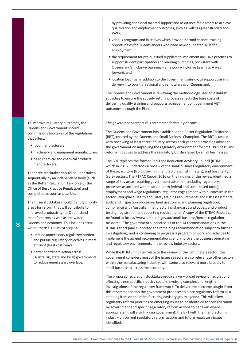|                                                                                                                                                                                                                                                         | by providing additional tailored support and assistance for learners to achieve<br>qualification and employment outcomes, such as Skilling Queenslanders for<br>Work;                                                                                                                                                                                                                                                                                                                                                                                                  |
|---------------------------------------------------------------------------------------------------------------------------------------------------------------------------------------------------------------------------------------------------------|------------------------------------------------------------------------------------------------------------------------------------------------------------------------------------------------------------------------------------------------------------------------------------------------------------------------------------------------------------------------------------------------------------------------------------------------------------------------------------------------------------------------------------------------------------------------|
|                                                                                                                                                                                                                                                         | • various programs and initiatives which provide 'second chance' training<br>opportunities for Queenslanders who need new or updated skills for<br>employment;                                                                                                                                                                                                                                                                                                                                                                                                         |
|                                                                                                                                                                                                                                                         | • the requirement for pre-qualified suppliers to implement inclusive practices to<br>support student participation and learning outcomes, consistent with<br>Queensland's Inclusive Learning Framework - Inclusive Learning: A way<br>forward; and                                                                                                                                                                                                                                                                                                                     |
|                                                                                                                                                                                                                                                         | · location loadings, in addition to the government subsidy, to support training<br>delivery into country, regional and remote areas of Queensland.                                                                                                                                                                                                                                                                                                                                                                                                                     |
|                                                                                                                                                                                                                                                         | The Queensland Government is reviewing the methodology used to establish<br>subsidies to ensure the subsidy setting process reflects the base costs of<br>delivering quality training and supports achievement of government VET<br>outcomes through the Plan.                                                                                                                                                                                                                                                                                                         |
| To improve regulatory outcomes, the<br>Queensland Government should                                                                                                                                                                                     | The government accepts this recommendation in principle                                                                                                                                                                                                                                                                                                                                                                                                                                                                                                                |
| commission stocktakes of the regulations<br>that affect:                                                                                                                                                                                                | The Queensland Government has established the Better Regulation Taskforce<br>(BRT), chaired by the Queensland Small Business Champion. The BRT is tasked                                                                                                                                                                                                                                                                                                                                                                                                               |
| · food manufacturers                                                                                                                                                                                                                                    | with reviewing at least three industry sectors each year and providing advice to<br>the government on improving the regulatory environment for small business, and                                                                                                                                                                                                                                                                                                                                                                                                     |
| • machinery and equipment manufacturers                                                                                                                                                                                                                 | reform initiatives to address the regulatory burden faced by small businesses.                                                                                                                                                                                                                                                                                                                                                                                                                                                                                         |
| · basic chemical and chemical products<br>manufacturers.                                                                                                                                                                                                | The BRT replaces the former Red Tape Reduction Advisory Council (RTRAC),<br>which in 2016, undertook a review of the small business regulatory environment                                                                                                                                                                                                                                                                                                                                                                                                             |
| The three stocktakes should be undertaken<br>sequentially by an independent body (such<br>as the Better Regulation Taskforce or the<br>Office of Best Practice Regulation) and<br>completed as soon as possible.                                        | of the agriculture (fruit growing), manufacturing (light metals), and hospitality<br>(café) sectors. The RTRAC Report 2016 on the findings of the review identified a<br>range of key areas requiring government attention, including regulatory<br>processes associated with taxation (both federal and state-based taxes);<br>employment and wage regulations; regulator engagement with businesses in the<br>sector; Workplace Health and Safety training requirements and risk assessments;                                                                        |
| The three stocktakes should identify priority<br>areas for reform that will contribute to<br>improved productivity for Queensland<br>manufacturers as well as the wider<br>Queensland economy. This includes areas<br>where there is the most scope to: | audit and inspection processes; land use zoning and planning regulation;<br>compliance with Australian manufacturing standards and codes; and product<br>testing, registration and reporting requirements. A copy of the RTRAC Report can<br>be found at https://www.ditid.qld.gov.au/small-business/better-regulation-<br>taskforce. The government supported 13 of the 14 recommendations in the<br>RTRAC report (and supported the remaining recommendation subject to further                                                                                      |
| • reduce unnecessary regulatory burden<br>and pursue regulatory objectives in more<br>efficient (least cost) ways                                                                                                                                       | investigation), and is continuing to progress a program of work and activities to<br>implement the agreed recommendations, and improve the business operating<br>and regulatory environments in the review industry sectors.                                                                                                                                                                                                                                                                                                                                           |
| • better coordinate action across<br>(Australian, state and local) governments<br>to reduce unnecessary overlaps.                                                                                                                                       | While the RTRAC findings relate to the review of the light metals sector, the<br>government considers most of the issues raised are also relevant to other sectors<br>within the manufacturing industry, with some also relevant more broadly to<br>small businesses across the economy.                                                                                                                                                                                                                                                                               |
|                                                                                                                                                                                                                                                         | The proposed regulation stocktakes require a very broad review of regulations<br>affecting three specific industry sectors involving complex and lengthy<br>investigations of the regulatory framework. To deliver the outcome sought from<br>this recommendation the government proposes to place regulatory reform as a<br>standing item on the manufacturing advisory group agenda. This will allow<br>regulatory reform priorities or emerging issues to be identified for consideration<br>by government and specific regulatory reform actions to be taken where |
|                                                                                                                                                                                                                                                         | appropriate. It will also link (via government) the BRT with the manufacturing<br>industry on current regulatory reform actions and future regulatory issues                                                                                                                                                                                                                                                                                                                                                                                                           |

**8**

identified.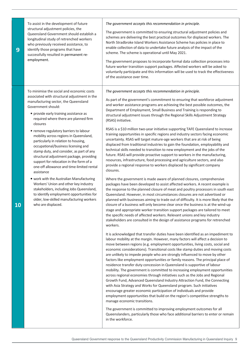| 9  | To assist in the development of future<br>structural adjustment policies, the<br>Queensland Government should establish a<br>longitudinal study of retrenched workers<br>who previously received assistance, to<br>identify those programs that have<br>successfully resulted in permanent re-<br>employment.                                                                                                                                                                                                                                                                                                                                                                                                                                                                                                                                                          | The government accepts this recommendation in principle.<br>The government is committed to ensuring structural adjustment policies and<br>schemes are delivering the best practical outcomes for displaced workers. The<br>North Stradbroke Island Workers Assistance Scheme has policies in place to<br>enable collection of data to undertake future analysis of the impact of the<br>scheme. The scheme is operational until May 2021.<br>The government proposes to incorporate formal data collection processes into<br>future worker transition support packages. Affected workers will be asked to<br>voluntarily participate and this information will be used to track the effectiveness<br>of the assistance over time.                                                                                                                                                                                                                                                                                                                                                                                                                                                                                                                                                                                                                                                                                                                                                                                                                                                                                                                                                                                                                                                                                                                                                                                                                                                                                                                                                                                                                                                                                                                                                                                                                                                                                                                                                                                                                                                                                                                                                                                                                                                                                                                                                                                                                                                                                                                                                                                                               |
|----|------------------------------------------------------------------------------------------------------------------------------------------------------------------------------------------------------------------------------------------------------------------------------------------------------------------------------------------------------------------------------------------------------------------------------------------------------------------------------------------------------------------------------------------------------------------------------------------------------------------------------------------------------------------------------------------------------------------------------------------------------------------------------------------------------------------------------------------------------------------------|-------------------------------------------------------------------------------------------------------------------------------------------------------------------------------------------------------------------------------------------------------------------------------------------------------------------------------------------------------------------------------------------------------------------------------------------------------------------------------------------------------------------------------------------------------------------------------------------------------------------------------------------------------------------------------------------------------------------------------------------------------------------------------------------------------------------------------------------------------------------------------------------------------------------------------------------------------------------------------------------------------------------------------------------------------------------------------------------------------------------------------------------------------------------------------------------------------------------------------------------------------------------------------------------------------------------------------------------------------------------------------------------------------------------------------------------------------------------------------------------------------------------------------------------------------------------------------------------------------------------------------------------------------------------------------------------------------------------------------------------------------------------------------------------------------------------------------------------------------------------------------------------------------------------------------------------------------------------------------------------------------------------------------------------------------------------------------------------------------------------------------------------------------------------------------------------------------------------------------------------------------------------------------------------------------------------------------------------------------------------------------------------------------------------------------------------------------------------------------------------------------------------------------------------------------------------------------------------------------------------------------------------------------------------------------------------------------------------------------------------------------------------------------------------------------------------------------------------------------------------------------------------------------------------------------------------------------------------------------------------------------------------------------------------------------------------------------------------------------------------------------------------------|
| 10 | To minimise the social and economic costs<br>associated with structural adjustment in the<br>manufacturing sector, the Queensland<br>Government should:<br>• provide early training assistance as<br>required where there are planned firm<br>closures<br>· remove regulatory barriers to labour<br>mobility across regions in Queensland,<br>particularly in relation to housing,<br>occupational/business licensing and<br>stamp duty, and consider, as part of any<br>structural adjustment package, providing<br>support for relocation in the form of a<br>one-off allowance and time-limited rental<br>assistance<br>• work with the Australian Manufacturing<br>Workers' Union and other key industry<br>stakeholders, including Jobs Queensland,<br>to identify employment opportunities for<br>older, low-skilled manufacturing workers<br>who are displaced. | The government accepts this recommendation in principle.<br>As part of the government's commitment to ensuring that workforce adjustment<br>and worker assistance programs are achieving the best possible outcomes, the<br>Department of Employment, Small Business and Training is responding to<br>structural adjustment issues through the Regional Skills Adjustment Strategy<br>(RSAS) initiative.<br>RSAS is a \$10 million two-year initiative supporting TAFE Queensland to increase<br>training opportunities in specific regions and industry sectors facing economic<br>uncertainty. RSAS will target mature-age workers that are at risk of being<br>displaced from traditional industries to gain the foundation, employability and<br>technical skills needed to transition to new employment and the jobs of the<br>future. RSAS will provide proactive support to workers in the manufacturing,<br>resources, infrastructure, food processing and agriculture sectors, and also<br>provide a regional response to workers displaced by significant company<br>closures.<br>Where the government is made aware of planned closures, comprehensive<br>packages have been developed to assist affected workers. A recent example is<br>the response to the planned closure of meat and poultry processors in south east<br>Queensland. However, in most circumstances closures are not advertised or<br>planned with businesses aiming to trade out of difficulty. It is more likely that the<br>closure of a business will only become clear once the business is at the wind-up<br>stage and appropriate worker transition support packages are tailored to meet<br>the specific needs of affected workers. Relevant unions and key industry<br>stakeholders are consulted in the design of assistance programs for retrenched<br>workers.<br>It is acknowledged that transfer duties have been identified as an impediment to<br>labour mobility at the margin. However, many factors will affect a decision to<br>move between regions (e.g. employment opportunities, living costs, social and<br>economic considerations). Transitional costs like stamp duties and moving costs<br>are unlikely to impede people who are strongly influenced to move by other<br>factors like employment opportunities or family reasons. The principal place of<br>residence transfer duty concession in Queensland is supportive of labour<br>mobility. The government is committed to increasing employment opportunities<br>across regional economies through initiatives such as the Jobs and Regional<br>Growth Fund, Advanced Queensland Industry Attraction Fund, the Connecting<br>with Asia Strategy and Works for Queensland program. Such initiatives<br>encourage greater economic participation of individuals and provide<br>employment opportunities that build on the region's competitive strengths to<br>manage economic transitions.<br>The government is committed to improving employment outcomes for all<br>Queenslanders, particularly those who face additional barriers to enter or remain<br>in the workforce. |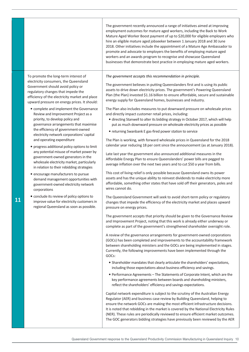|                                                                                                                                                                                                                                                                                                                                                                                                                                                                                                                                                                                                                                                                                                                                                                                                                                                                                                                                                                                                                                                    | The government recently announced a range of initiatives aimed at improving<br>employment outcomes for mature aged workers, including the Back to Work<br>Mature Aged Worker Boost payment of up to \$20,000 for eligible employers who<br>hire an eligible mature aged jobseeker between 1 January 2018 and 30 June<br>2018. Other initiatives include the appointment of a Mature Age Ambassador to<br>promote and advocate to employers the benefits of employing mature aged<br>workers and an awards program to recognise and showcase Queensland<br>businesses that demonstrate best practice in employing mature aged workers.                                                                                                                                                                                                                                                                                                                                                                                                                                                                                                                                                                                                                                                                                                                                                                                                                                                                                                                                                                                                                                                                                                                                                                                                                                                                                                                                                                                                                                                                                                                                                                                                                                                                                                                                                                                                                                                                                                                                                                                         |
|----------------------------------------------------------------------------------------------------------------------------------------------------------------------------------------------------------------------------------------------------------------------------------------------------------------------------------------------------------------------------------------------------------------------------------------------------------------------------------------------------------------------------------------------------------------------------------------------------------------------------------------------------------------------------------------------------------------------------------------------------------------------------------------------------------------------------------------------------------------------------------------------------------------------------------------------------------------------------------------------------------------------------------------------------|-------------------------------------------------------------------------------------------------------------------------------------------------------------------------------------------------------------------------------------------------------------------------------------------------------------------------------------------------------------------------------------------------------------------------------------------------------------------------------------------------------------------------------------------------------------------------------------------------------------------------------------------------------------------------------------------------------------------------------------------------------------------------------------------------------------------------------------------------------------------------------------------------------------------------------------------------------------------------------------------------------------------------------------------------------------------------------------------------------------------------------------------------------------------------------------------------------------------------------------------------------------------------------------------------------------------------------------------------------------------------------------------------------------------------------------------------------------------------------------------------------------------------------------------------------------------------------------------------------------------------------------------------------------------------------------------------------------------------------------------------------------------------------------------------------------------------------------------------------------------------------------------------------------------------------------------------------------------------------------------------------------------------------------------------------------------------------------------------------------------------------------------------------------------------------------------------------------------------------------------------------------------------------------------------------------------------------------------------------------------------------------------------------------------------------------------------------------------------------------------------------------------------------------------------------------------------------------------------------------------------------|
| To promote the long-term interest of<br>electricity consumers, the Queensland<br>Government should avoid policy or<br>regulatory changes that impede the<br>efficiency of the electricity market and place<br>upward pressure on energy prices. It should:<br>• complete and implement the Governance<br>Review and Improvement Project as a<br>priority, to develop policy and<br>governance arrangements that maximise<br>the efficiency of government-owned<br>electricity network corporations' capital<br>and operating expenditure<br>progress additional policy options to limit<br>any potential misuse of market power by<br>government-owned generators in the<br>wholesale electricity market, particularly<br>in relation to their rebidding strategies<br>· encourage manufacturers to pursue<br>demand management opportunities with<br>government-owned electricity network<br>corporations<br>• conclude its review of policy options to<br>improve value for electricity customers in<br>regional Queensland as soon as possible. | The government accepts this recommendation in principle.<br>The government believes in putting Queenslanders first and is using its public<br>assets to drive down electricity prices. The government's Powering Queensland<br>Plan (the Plan) invested \$1.16 billion to ensure affordable, secure and sustainable<br>energy supply for Queensland homes, businesses and industry.<br>The Plan also includes measures to put downward pressure on wholesale prices<br>and directly impact customer retail prices, including:<br>· directing Stanwell to alter its bidding strategy in October 2017, which will help<br>put as much downward pressure on wholesale electricity prices as possible<br>• returning Swanbank E gas-fired power station to service<br>The Plan is working, with forward wholesale prices in Queensland for the 2018<br>calendar year reducing 18 per cent since the announcement (as at January 2018).<br>Late last year the government also announced additional measures in the<br>Affordable Energy Plan to ensure Queenslanders' power bills are pegged to<br>average inflation over the next two years and to cut \$50 a year from bills.<br>This cost of living relief is only possible because Queensland owns its power<br>assets and has the unique ability to reinvest dividends to make electricity more<br>affordable, something other states that have sold off their generators, poles and<br>wires cannot do.<br>The Queensland Government will seek to avoid short-term policy or regulatory<br>changes that impede the efficiency of the electricity market and places upward<br>pressure on energy prices.<br>The government accepts that priority should be given to the Governance Review<br>and Improvement Project, noting that this work is already either underway or<br>complete as part of the government's strengthened shareholder oversight role.<br>A review of the governance arrangements for government-owned corporations<br>(GOCs) has been completed and improvements to the accountability framework<br>between shareholding ministers and the GOCs are being implemented in stages.<br>Currently, the following improvements have been implemented through the<br>GOCs:<br>• Shareholder mandates that clearly articulate the shareholders' expectations,<br>including those expectations about business efficiency and savings.<br>• Performance Agreements - The Statements of Corporate Intent, which are the<br>key performance agreements between boards and shareholding ministers,<br>reflect the shareholders' efficiency and savings expectations. |
|                                                                                                                                                                                                                                                                                                                                                                                                                                                                                                                                                                                                                                                                                                                                                                                                                                                                                                                                                                                                                                                    | Capital network expenditure is subject to the scrutiny of the Australian Energy<br>Regulator (AER) and business case review by Building Queensland, helping to<br>ensure the network GOCs are making the most efficient infrastructure decisions.<br>It is noted that rebidding in the market is covered by the National Electricity Rules<br>(NER). These rules are periodically reviewed to ensure efficient market outcomes.<br>The GOC generators bidding strategies have previously been reviewed by the AER                                                                                                                                                                                                                                                                                                                                                                                                                                                                                                                                                                                                                                                                                                                                                                                                                                                                                                                                                                                                                                                                                                                                                                                                                                                                                                                                                                                                                                                                                                                                                                                                                                                                                                                                                                                                                                                                                                                                                                                                                                                                                                             |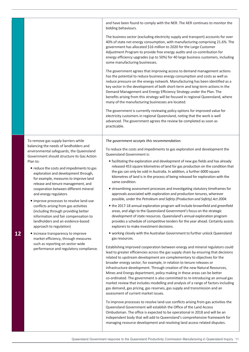|    |                                                                                                                                                                                                                                                                                                                                                                                                                                                                                   | and have been found to comply with the NER. The AER continues to monitor the<br>bidding behaviours.                                                                                                                                                                                                                                                                                                                                                                                                                                                                                                                                                                                                                                                                            |
|----|-----------------------------------------------------------------------------------------------------------------------------------------------------------------------------------------------------------------------------------------------------------------------------------------------------------------------------------------------------------------------------------------------------------------------------------------------------------------------------------|--------------------------------------------------------------------------------------------------------------------------------------------------------------------------------------------------------------------------------------------------------------------------------------------------------------------------------------------------------------------------------------------------------------------------------------------------------------------------------------------------------------------------------------------------------------------------------------------------------------------------------------------------------------------------------------------------------------------------------------------------------------------------------|
|    |                                                                                                                                                                                                                                                                                                                                                                                                                                                                                   | The business sector (excluding electricity supply and transport) accounts for over<br>40% of state net energy consumption, with manufacturing comprising 21.6%. The<br>government has allocated \$16 million to 2020 for the Large Customer<br>Adjustment Program to provide free energy audits and co-contribution for<br>energy efficiency upgrades (up to 50%) for 40 large business customers, including<br>some manufacturing businesses.                                                                                                                                                                                                                                                                                                                                 |
|    |                                                                                                                                                                                                                                                                                                                                                                                                                                                                                   | The government agrees that improving access to demand management actions<br>has the potential to reduce business energy consumption and costs as well as<br>reduce pressure on the energy network. Manufacturing has been identified as a<br>key sector in the development of both short-term and long-term actions in the<br>Demand Management and Energy Efficiency Strategy under the Plan. The<br>benefits arising from this strategy will be focused in regional Queensland, where<br>many of the manufacturing businesses are located.                                                                                                                                                                                                                                   |
|    |                                                                                                                                                                                                                                                                                                                                                                                                                                                                                   | The government is currently reviewing policy options for improved value for<br>electricity customers in regional Queensland, noting that the work is well<br>advanced. The government agrees the review be completed as soon as<br>practicable.                                                                                                                                                                                                                                                                                                                                                                                                                                                                                                                                |
|    | To remove gas supply barriers while                                                                                                                                                                                                                                                                                                                                                                                                                                               | The government accepts this recommendation.                                                                                                                                                                                                                                                                                                                                                                                                                                                                                                                                                                                                                                                                                                                                    |
|    | balancing the needs of landholders and<br>environmental safeguards, the Queensland<br>Government should structure its Gas Action                                                                                                                                                                                                                                                                                                                                                  | To reduce the costs and impediments to gas exploration and development the<br>Queensland Government is:                                                                                                                                                                                                                                                                                                                                                                                                                                                                                                                                                                                                                                                                        |
|    | Plan to:<br>• reduce the costs and impediments to gas<br>exploration and development through,<br>for example, measures to improve land<br>release and tenure management, and<br>cooperation between different mineral<br>and energy regulators<br>• improve processes to resolve land-use<br>conflicts arising from gas activities<br>(including through providing better<br>information and fair compensation to<br>landholders and an evidence-based<br>approach to regulation) | • facilitating the exploration and development of new gas fields and has already<br>released 453 square kilometres of land for gas production on the condition that<br>the gas can only be sold in Australia. In addition, a further 6000 square<br>kilometres of land is in the process of being released for exploration with the<br>same condition.                                                                                                                                                                                                                                                                                                                                                                                                                         |
|    |                                                                                                                                                                                                                                                                                                                                                                                                                                                                                   | • streamlining assessment processes and investigating statutory timeframes for<br>approvals associated with exploration and production tenures, wherever<br>possible, under the Petroleum and Safety (Production and Safety) Act 2004.                                                                                                                                                                                                                                                                                                                                                                                                                                                                                                                                         |
|    |                                                                                                                                                                                                                                                                                                                                                                                                                                                                                   | • the 2017-18 annual exploration program will include brownfield and greenfield<br>areas, and align to the Queensland Government's focus on the strategic                                                                                                                                                                                                                                                                                                                                                                                                                                                                                                                                                                                                                      |
|    |                                                                                                                                                                                                                                                                                                                                                                                                                                                                                   | development of state resources. Queensland's annual exploration program<br>provides a schedule of competitive tenders for the year ahead. Certainty assists<br>explorers to make investment decisions.                                                                                                                                                                                                                                                                                                                                                                                                                                                                                                                                                                         |
| 12 | • increase transparency to improve<br>market efficiency, through measures                                                                                                                                                                                                                                                                                                                                                                                                         | . working closely with the Australian Government to further unlock Queensland<br>gas resources.                                                                                                                                                                                                                                                                                                                                                                                                                                                                                                                                                                                                                                                                                |
|    | such as reporting on sector-wide<br>performance and regulatory compliance.                                                                                                                                                                                                                                                                                                                                                                                                        | Establishing improved cooperation between energy and mineral regulators could<br>lead to greater efficiencies across the gas supply chain by ensuring that decisions<br>related to upstream development are complementary to objectives for the<br>broader energy sector, for example, in relation to tenure releases or<br>infrastructure development. Through creation of the new Natural Resources,<br>Mines and Energy department, policy making in these areas can be better<br>co-ordinated. The government is also committed to re-introducing an annual gas<br>market review that includes modelling and analysis of a range of factors including<br>gas demand, gas pricing, gas reserves, gas supply and transmission and an<br>assessment of current market issues. |
|    |                                                                                                                                                                                                                                                                                                                                                                                                                                                                                   | To improve processes to resolve land-use conflicts arising from gas activities the<br>Queensland Government will establish the Office of the Land Access<br>Ombudsman. The office is expected to be operational in 2018 and will be an<br>independent body that will add to Queensland's comprehensive framework for                                                                                                                                                                                                                                                                                                                                                                                                                                                           |

managing resource development and resolving land access related disputes.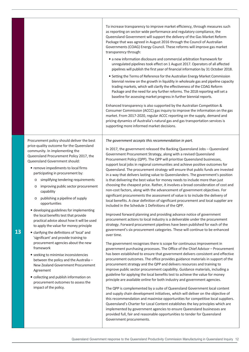|    |                                                                                                                                                                                                                                                                                                                                                                                                                                                                                                                                                                                                                                                                                                                                                                                                                                                                                                                                                                                                                                        | To increase transparency to improve market efficiency, through measures such<br>as reporting on sector-wide performance and regulatory compliance, the<br>Queensland Government will support the delivery of the Gas Market Reform<br>Package that was agreed in August 2016 through the Council of Australian<br>Governments (COAG) Energy Council. These reforms will improve gas market<br>transparency through:<br>• a new information disclosure and commercial arbitration framework for<br>unregulated pipelines took effect on 1 August 2017. Operators of all affected<br>pipelines will publish the first year of financial information by 31 October 2018.<br>• Setting the Terms of Reference for the Australian Energy Market Commission<br>biennial review on the growth in liquidity in wholesale gas and pipeline capacity<br>trading markets, which will clarify the effectiveness of the COAG Reform<br>Package and the need for any further reforms. The 2018 reporting will set a<br>baseline for assessing market progress in further biennial reports.<br>Enhanced transparency is also supported by the Australian Competition &<br>Consumer Commission (ACCC) gas inquiry to improve the information on the gas<br>market. From 2017-2020, regular ACCC reporting on the supply, demand and<br>pricing dynamics of Australia's natural gas and gas transportation services is<br>supporting more informed market decisions.                                                                                                                                                                                                                                                                                                                                                                                                                                                                                                                                                                                                                                                                                                                                                                                                                                                                                                                                                                                                                                                                                                  |
|----|----------------------------------------------------------------------------------------------------------------------------------------------------------------------------------------------------------------------------------------------------------------------------------------------------------------------------------------------------------------------------------------------------------------------------------------------------------------------------------------------------------------------------------------------------------------------------------------------------------------------------------------------------------------------------------------------------------------------------------------------------------------------------------------------------------------------------------------------------------------------------------------------------------------------------------------------------------------------------------------------------------------------------------------|------------------------------------------------------------------------------------------------------------------------------------------------------------------------------------------------------------------------------------------------------------------------------------------------------------------------------------------------------------------------------------------------------------------------------------------------------------------------------------------------------------------------------------------------------------------------------------------------------------------------------------------------------------------------------------------------------------------------------------------------------------------------------------------------------------------------------------------------------------------------------------------------------------------------------------------------------------------------------------------------------------------------------------------------------------------------------------------------------------------------------------------------------------------------------------------------------------------------------------------------------------------------------------------------------------------------------------------------------------------------------------------------------------------------------------------------------------------------------------------------------------------------------------------------------------------------------------------------------------------------------------------------------------------------------------------------------------------------------------------------------------------------------------------------------------------------------------------------------------------------------------------------------------------------------------------------------------------------------------------------------------------------------------------------------------------------------------------------------------------------------------------------------------------------------------------------------------------------------------------------------------------------------------------------------------------------------------------------------------------------------------------------------------------------------------------------------------------------------------------------------------------------------------------------------|
| 13 | Procurement policy should deliver the best<br>price-quality outcome for the Queensland<br>community. In implementing the<br>Queensland Procurement Policy 2017, the<br>Queensland Government should:<br>• remove impediments to local firms<br>participating in procurement by:<br>simplifying tendering requirements<br>$\circ$<br>improving public sector procurement<br>$\circ$<br>capability<br>publishing a pipeline of supply<br>$\circ$<br>opportunities<br>· developing guidelines for implementing<br>the local benefits test that provide<br>practical advice about how it will be used<br>to apply the value for money principle<br>• clarifying the definitions of 'local' and<br>'significant' and provide training to<br>procurement agencies about the new<br>framework<br>• seeking to minimise inconsistencies<br>between the policy and the Australia -<br>New Zealand Government Procurement<br>Agreement<br>• collecting and publish information on<br>procurement outcomes to assess the<br>impact of the policy. | The government accepts this recommendation in part.<br>In 2017, the government released the Backing Queensland Jobs - Queensland<br>Government Procurement Strategy, along with a revised Queensland<br>Procurement Policy (QPP). The QPP will prioritise Queensland businesses,<br>support local jobs in regional communities and achieve positive outcomes for<br>Queensland. The procurement strategy will ensure that public funds are invested<br>in a way that delivers lasting value to Queenslanders. The government's position<br>is that delivering the best value for money needs to include more than just<br>choosing the cheapest price. Rather, it involves a broad consideration of cost and<br>non-cost factors, along with the advancement of government objectives. For<br>significant procurements the assessment of value is to include the delivery of<br>local benefits. A clear definition of significant procurement and local supplier are<br>included in the Schedule 1 Definitions of the QPP.<br>Improved forward planning and providing advance notice of government<br>procurement actions to local industry is a deliverable under the procurement<br>strategy. Forward procurement pipelines have been published for each of the<br>government's six procurement categories. These will continue to be enhanced<br>over time.<br>The government recognises there is scope for continuous improvement in<br>government purchasing processes. The Office of the Chief Advisor - Procurement<br>has been established to ensure that government delivers consistent and effective<br>procurement outcomes. The office provides guidance materials in support of the<br>procurement strategy and the QPP and delivers resources and training to<br>improve public sector procurement capability. Guidance materials, including a<br>guideline for applying the local benefits test to achieve the value for money<br>principle are available online for both industry and government agencies.<br>The QPP is complemented by a suite of Queensland Government local content<br>and supply chain development initiatives, which will deliver on the objective of<br>this recommendation and maximise opportunities for competitive local suppliers.<br>Queensland's Charter for Local Content establishes the key principles which are<br>implemented by government agencies to ensure Queensland businesses are<br>provided full, fair and reasonable opportunities to tender for Queensland<br>Government procurements. |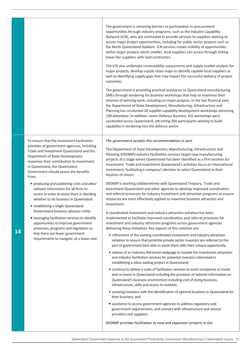|    |                                                                                                                                                                                                                                                                                                                                                                                                                                                                                                                                                                                                                                                                                                                                                                                        | The government is removing barriers to participation in procurement<br>opportunities through industry programs, such as the Industry Capability<br>Network (ICN), who are contracted to provide services to suppliers wishing to<br>access major project opportunities, including for public sector projects such as<br>the North Queensland Stadium. ICN services create visibility of opportunities<br>within larger projects which smaller, local suppliers can access through linking<br>lower tier suppliers with lead contractors.<br>The ICN also undertake contestability assessments and supply market analysis for<br>major projects, develop supply chain maps to identify capable local suppliers as<br>well as identifying supply gaps that may impact the successful delivery of project<br>outcomes.<br>The government is providing practical assistance to Queensland manufacturing<br>SMEs through tendering for business workshops that help to maximise their<br>chances of winning work, including on major projects. In the last financial year,<br>the Department of State Development, Manufacturing, Infrastructure and<br>Planning has conducted 20 supplier capability development workshops attracting<br>199 attendees. In addition, seven Defence Business 101 workshops were<br>conducted across Queensland, attracting 204 participants wishing to build<br>capability in tendering into the defence sector.                                                                                                                                                                                                                                                                                                                                                                                                                                                                                                                                                                                                                                                                                                                                                                                                                                |
|----|----------------------------------------------------------------------------------------------------------------------------------------------------------------------------------------------------------------------------------------------------------------------------------------------------------------------------------------------------------------------------------------------------------------------------------------------------------------------------------------------------------------------------------------------------------------------------------------------------------------------------------------------------------------------------------------------------------------------------------------------------------------------------------------|----------------------------------------------------------------------------------------------------------------------------------------------------------------------------------------------------------------------------------------------------------------------------------------------------------------------------------------------------------------------------------------------------------------------------------------------------------------------------------------------------------------------------------------------------------------------------------------------------------------------------------------------------------------------------------------------------------------------------------------------------------------------------------------------------------------------------------------------------------------------------------------------------------------------------------------------------------------------------------------------------------------------------------------------------------------------------------------------------------------------------------------------------------------------------------------------------------------------------------------------------------------------------------------------------------------------------------------------------------------------------------------------------------------------------------------------------------------------------------------------------------------------------------------------------------------------------------------------------------------------------------------------------------------------------------------------------------------------------------------------------------------------------------------------------------------------------------------------------------------------------------------------------------------------------------------------------------------------------------------------------------------------------------------------------------------------------------------------------------------------------------------------------------------------------------------------------------------------------------------------------------------------------|
| 14 | To ensure that the investment facilitation<br>activities of government agencies, including<br>Trade and Investment Queensland and the<br>Department of State Development,<br>maximise their contribution to investment<br>in Queensland, the Queensland<br>Government should assess the benefits<br>from:<br>• producing and publishing costs and other<br>relevant information for all firms to<br>access in order to assist them in deciding<br>whether to do business in Queensland<br>· establishing a single Queensland<br>Government business advisory entity<br>• leveraging facilitation services to identify<br>opportunities to improve government<br>processes, programs and regulation so<br>that there are fewer government<br>requirements to navigate, at a lower cost. | The government accepts this recommendation in part.<br>The Department of State Development, Manufacturing, Infrastructure and<br>Planning (DSDMIP) industry facilitation services target new manufacturing<br>projects at a stage where Queensland has been identified as a firm location for<br>investment. Trade and Investment Queensland's activities focus on international<br>investment, facilitating a company's decision to select Queensland as their<br>location of choice.<br>DSDMIP is working collaboratively with Queensland Treasury, Trade and<br>Investment Queensland and other agencies to develop improved coordination<br>and referral processes for industry investment and attraction programs to ensure<br>resources are most effectively applied to maximise business attraction and<br>investment.<br>A coordinated investment and industry attraction initiative has been<br>implemented to facilitate improved coordination and referral processes for<br>investment and industry attraction programs across government agencies<br>delivering these initiatives. Key aspects of this initiative are:<br>• refinement of the existing coordinated investment and industry attraction<br>initiative to ensure that potential private sector investors are referred to the<br>part of government best able to assist them with their unique opportunity;<br>• release of an Industry Attraction webpage to market the investment attraction<br>and industry facilitation services for potential investors interested in<br>establishing a value-adding project in Queensland;<br>• continue to deliver a suite of facilitation services to assist companies to invest<br>and re-invest in Queensland including the provision of tailored information on<br>Queensland's business environment including cost of doing business,<br>infrastructure, skills and access to markets;<br>· assisting investors with the identification of optimal locations in Queensland for<br>their business; and<br>· assistance to access government agencies to address regulatory and<br>government requirements, and connect with infrastructure and service<br>providers and suppliers.<br>DSDMIP provides facilitation to new and expansion projects in the |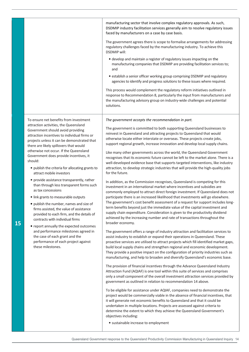manufacturing sector that involve complex regulatory approvals. As such, DSDMIP industry facilitation services generally aim to resolve regulatory issues faced by manufacturers on a case by case basis. The government agrees there is scope to formalise arrangements for addressing regulatory challenges faced by the manufacturing industry. To achieve this DSDMIP will: • develop and maintain a register of regulatory issues impacting on the manufacturing companies that DSDMIP are providing facilitation services to; and • establish a senior officer working group comprising DSDMIP and regulatory agencies to identify and progress solutions to these issues where required. This process would complement the regulatory reform initiatives outlined in response to Recommendation 8, particularly the input from manufacturers and the manufacturing advisory group on industry-wide challenges and potential solutions. To ensure net benefits from investment attraction activities, the Queensland Government should avoid providing attraction incentives to individual firms or projects unless it can be demonstrated that there are likely spillovers that would otherwise not occur. If the Queensland Government does provide incentives, it should: • publish the criteria for allocating grants to attract mobile investors • provide assistance transparently, rather than through less transparent forms such as tax concessions • link grants to measurable outputs • publish the number, names and size of firms assisted, the value of assistance provided to each firm, and the details of contracts with individual firms • report annually the expected outcomes and performance milestones agreed in the case of each grant and the performance of each project against these milestones. *The government accepts the recommendation in part.*  The government is committed to both supporting Queensland businesses to reinvest in Queensland and attracting projects to Queensland that would otherwise locate either interstate or overseas. These projects create jobs, support regional growth, increase innovation and develop local supply chains. Like many other governments across the world, the Queensland Government recognises that its economic future cannot be left to the market alone. There is a well-developed evidence base that supports targeted interventions, like industry attraction, to develop strategic industries that will provide the high-quality jobs for the future. In addition, as the Commission recognises, Queensland is competing for this investment in an international market where incentives and subsidies are commonly employed to attract direct foreign investment. If Queensland does not participate there is an increased likelihood that investments will go elsewhere. The government's cost benefit assessment of a request for support includes longterm benefits beyond just the immediate value of the capital investment and supply chain expenditure. Consideration is given to the productivity dividend achieved by the increasing number and rate of transactions throughout the broader economy. The government offers a range of industry attraction and facilitation services to assist industry to establish or expand their operations in Queensland. These proactive services are utilised to attract projects which fill identified market gaps, build local supply chains and strengthen regional and economic development. They provide a positive impact on the configuration of priority industries such as manufacturing, and help to broaden and diversify Queensland's economic base. The provision of financial incentives through the Advance Queensland Industry Attraction Fund (AQIAF) is one tool within this suite of services and comprises only a small component of the overall investment attraction services provided by government as outlined in relation to recommendation 14 above. To be eligible for assistance under AQIAF, companies need to demonstrate the project would be commercially viable in the absence of financial incentives, that it will generate net economic benefits to Queensland and that it could be undertaken in multiple locations. Projects are assessed against criteria to determine the extent to which they achieve the Queensland Government's objectives including: • sustainable increase to employment

**15**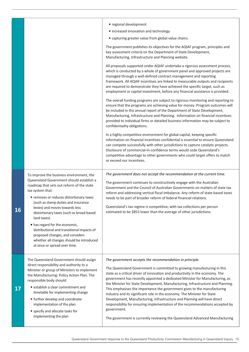|    |                                                                                                                                                                                                                                                                                                                                                                                                                                                                                                                                      | · regional development<br>• increased innovation and technology<br>• capturing greater value from global value chains.<br>The government publishes its objectives for the AQIAF program, principles and<br>key assessment criteria on the Department of State Development,<br>Manufacturing, Infrastructure and Planning website.<br>All proposals supported under AQIAF undertake a rigorous assessment process,<br>which is conducted by a whole of government panel and approved projects are<br>managed through a well-defined contract management and reporting<br>framework. All AQIAF incentives are linked to measurable outputs and recipients<br>are required to demonstrate they have achieved the specific target, such as<br>employment or capital investment, before any financial assistance is provided.<br>The overall funding programs are subject to rigorous monitoring and reporting to<br>ensure that the programs are achieving value for money. Program outcomes will<br>be included in the annual report of the Department of State Development,<br>Manufacturing, Infrastructure and Planning. Information on financial incentives<br>provided to individual firms or detailed business information may be subject to<br>confidentiality obligations.<br>In a highly competitive environment for global capital, keeping specific<br>information on financial incentives confidential is essential to ensure Queensland<br>can compete successfully with other jurisdictions to capture catalytic projects. |
|----|--------------------------------------------------------------------------------------------------------------------------------------------------------------------------------------------------------------------------------------------------------------------------------------------------------------------------------------------------------------------------------------------------------------------------------------------------------------------------------------------------------------------------------------|---------------------------------------------------------------------------------------------------------------------------------------------------------------------------------------------------------------------------------------------------------------------------------------------------------------------------------------------------------------------------------------------------------------------------------------------------------------------------------------------------------------------------------------------------------------------------------------------------------------------------------------------------------------------------------------------------------------------------------------------------------------------------------------------------------------------------------------------------------------------------------------------------------------------------------------------------------------------------------------------------------------------------------------------------------------------------------------------------------------------------------------------------------------------------------------------------------------------------------------------------------------------------------------------------------------------------------------------------------------------------------------------------------------------------------------------------------------------------------------------------------------------------------------|
|    |                                                                                                                                                                                                                                                                                                                                                                                                                                                                                                                                      | Disclosure of commercial-in-confidence terms would cede Queensland's<br>competitive advantage to other governments who could target offers to match<br>or exceed our incentives.                                                                                                                                                                                                                                                                                                                                                                                                                                                                                                                                                                                                                                                                                                                                                                                                                                                                                                                                                                                                                                                                                                                                                                                                                                                                                                                                                      |
| 16 | To improve the business environment, the<br>Queensland Government should establish a<br>roadmap that sets out reform of the state<br>tax system that:<br>• removes or reduces distortionary taxes<br>(such as stamp duties and insurance<br>levies) and moves towards less<br>distortionary taxes (such as broad-based<br>land taxes)<br>• has regard for the economic,<br>distributional and transitional impacts of<br>proposed changes, and considers<br>whether all changes should be introduced<br>at once or spread over time. | The government does not accept the recommendation at the current time.<br>The government continues to constructively engage with the Australian<br>Government and the Council of Australian Governments on matters of state tax<br>reform and addressing vertical fiscal imbalance. Any reform of state-based taxes<br>needs to be part of broader reform of federal financial relations.<br>Queensland's tax regime is competitive, with tax collections per person<br>estimated to be \$853 lower than the average of other jurisdictions.                                                                                                                                                                                                                                                                                                                                                                                                                                                                                                                                                                                                                                                                                                                                                                                                                                                                                                                                                                                          |
| 17 | The Queensland Government should assign<br>direct responsibility and authority to a<br>Minister or group of Ministers to implement<br>the Manufacturing: Policy Action Plan. The<br>responsible body should:<br>• establish a clear commitment and<br>timetable for implementing change<br>• further develop and coordinate<br>implementation of the plan<br>• specify and allocate tasks for<br>implementing the plan                                                                                                               | The government accepts the recommendation in principle.<br>The Queensland Government is committed to growing manufacturing in this<br>state as a critical driver of innovation and productivity in the economy. The<br>government has recently appointed a dedicated Minister for Manufacturing, as<br>the Minister for State Development, Manufacturing, Infrastructure and Planning.<br>This emphasises the importance the government gives to the manufacturing<br>industry and its significant role in the economy. The Minister for State<br>Development, Manufacturing, Infrastructure and Planning will have direct<br>responsibility for ensuring implementation of the recommendations accepted by<br>government.<br>The government is currently reviewing the Queensland Advanced Manufacturing                                                                                                                                                                                                                                                                                                                                                                                                                                                                                                                                                                                                                                                                                                                             |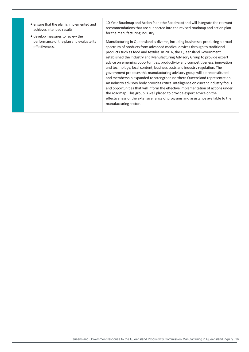• ensure that the plan is implemented and achieves intended results • develop measures to review the performance of the plan and evaluate its effectiveness. 10-Year Roadmap and Action Plan (the Roadmap) and will integrate the relevant recommendations that are supported into the revised roadmap and action plan for the manufacturing industry. Manufacturing in Queensland is diverse, including businesses producing a broad spectrum of products from advanced medical devices through to traditional products such as food and textiles. In 2016, the Queensland Government established the Industry and Manufacturing Advisory Group to provide expert advice on emerging opportunities, productivity and competitiveness, innovation and technology, local content, business costs and industry regulation. The government proposes this manufacturing advisory group will be reconstituted and membership expanded to strengthen northern Queensland representation. An industry advisory body provides critical intelligence on current industry focus and opportunities that will inform the effective implementation of actions under the roadmap. This group is well placed to provide expert advice on the effectiveness of the extensive range of programs and assistance available to the manufacturing sector.